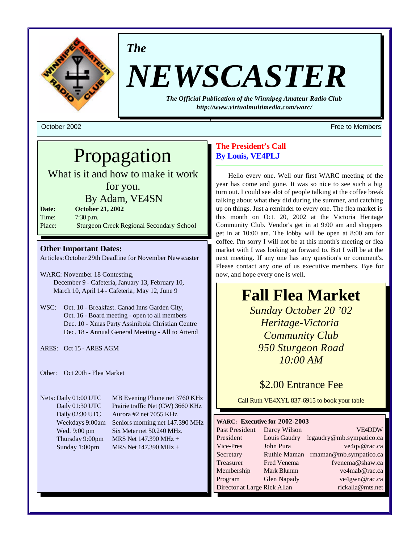

*The*

# *NEWSCASTER*

*The Official Publication of the Winnipeg Amateur Radio Club http://www.virtualmultimedia.com/warc/*

## Propagation

What is it and how to make it work

for you.

By Adam, VE4SN

**Date: October 21, 2002** Time: 7:30 p.m. Place: Sturgeon Creek Regional Secondary School

## **Other Important Dates:**

Articles: October 29th Deadline for November Newscaster

- WARC: November 18 Contesting, December 9 - Cafeteria, January 13, February 10, March 10, April 14 - Cafeteria, May 12, June 9
- WSC: Oct. 10 Breakfast. Canad Inns Garden City, Oct. 16 - Board meeting - open to all members Dec. 10 - Xmas Party Assiniboia Christian Centre Dec. 18 - Annual General Meeting - All to Attend
- ARES: Oct 15 ARES AGM
- Other: Oct 20th Flea Market

Nets: Daily 01:00 UTC MB Evening Phone net 3760 KHz Daily 01:30 UTC Prairie traffic Net (CW) 3660 KHz Daily 02:30 UTC Aurora #2 net 7055 KHz Weekdays 9:00am Seniors morning net 147.390 MHz Wed. 9:00 pm Six Meter net 50.240 MHz. Thursday 9:00pm MRS Net  $147.390 \text{ MHz} +$ Sunday 1:00pm MRS Net 147.390 MHz +

## **The President's Call By Louis, VE4PLJ**

Hello every one. Well our first WARC meeting of the year has come and gone. It was so nice to see such a big turn out. I could see alot of people talking at the coffee break talking about what they did during the summer, and catching up on things. Just a reminder to every one. The flea market is this month on Oct. 20, 2002 at the Victoria Heritage Community Club. Vendor's get in at 9:00 am and shoppers get in at 10:00 am. The lobby will be open at 8:00 am for coffee. I'm sorry I will not be at this month's meeting or flea market with I was looking so forward to. But I will be at the next meeting. If any one has any question's or comment's. Please contact any one of us executive members. Bye for now, and hope every one is well.

## **Fall Flea Market**

*Sunday October 20 '02 Heritage-Victoria Community Club 950 Sturgeon Road 10:00 AM*

## \$2.00 Entrance Fee

Call Ruth VE4XYL 837-6915 to book your table

## **WARC: Executive for 2002-2003**

| Past President               | Darcy Wilson       | VE4DDW                   |
|------------------------------|--------------------|--------------------------|
| President                    | Louis Gaudry       | lcgaudry@mb.sympatico.ca |
| Vice-Pres                    | John Pura          | ve4qv@rac.ca             |
| Secretary                    | Ruthie Maman       | rmaman@mb.sympatico.ca   |
| Treasurer                    | Fred Venema        | fvenema@shaw.ca          |
| Membership                   | Mark Blumm         | ve4mab@rac.ca            |
| Program                      | <b>Glen Napady</b> | ve4gwn@rac.ca            |
| Director at Large Rick Allan |                    | rickalla@mts.net         |
|                              |                    |                          |

October 2002 **Free to Members** Free to Members **Free** to Members **Free** to Members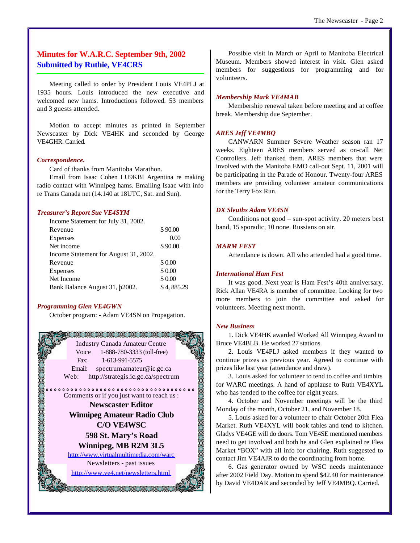## **Minutes for W.A.R.C. September 9th, 2002 Submitted by Ruthie, VE4CRS**

Meeting called to order by President Louis VE4PLJ at 1935 hours. Louis introduced the new executive and welcomed new hams. Introductions followed. 53 members and 3 guests attended.

Motion to accept minutes as printed in September Newscaster by Dick VE4HK and seconded by George VE4GHR. Carried.

#### *Correspondence.*

Card of thanks from Manitoba Marathon.

Email from Isaac Cohen LU9KBI Argentina re making radio contact with Winnipeg hams. Emailing Isaac with info re Trans Canada net (14.140 at 18UTC, Sat. and Sun).

#### *Treasurer's Report Sue VE4SYM*

| Income Statement for July 31, 2002.   |            |
|---------------------------------------|------------|
| Revenue                               | \$90.00    |
| Expenses                              | 0.00       |
| Net income                            | \$90.00.   |
| Income Statement for August 31, 2002. |            |
| Revenue                               | \$0.00     |
| <b>Expenses</b>                       | \$0.00     |
| Net Income                            | \$0.00     |
| Bank Balance August 31, b2002.        | \$4,885.29 |

#### *Programming Glen VE4GWN*

October program: - Adam VE4SN on Propagation.



Possible visit in March or April to Manitoba Electrical Museum. Members showed interest in visit. Glen asked members for suggestions for programming and for volunteers.

#### *Membership Mark VE4MAB*

Membership renewal taken before meeting and at coffee break. Membership due September.

#### *ARES Jeff VE4MBQ*

CANWARN Summer Severe Weather season ran 17 weeks. Eighteen ARES members served as on-call Net Controllers. Jeff thanked them. ARES members that were involved with the Manitoba EMO call-out Sept. 11, 2001 will be participating in the Parade of Honour. Twenty-four ARES members are providing volunteer amateur communications for the Terry Fox Run.

#### *DX Sleuths Adam VE4SN*

Conditions not good – sun-spot activity. 20 meters best band, 15 sporadic, 10 none. Russians on air.

#### *MARM FEST*

Attendance is down. All who attended had a good time.

#### *International Ham Fest*

It was good. Next year is Ham Fest's 40th anniversary. Rick Allan VE4RA is member of committee. Looking for two more members to join the committee and asked for volunteers. Meeting next month.

#### *New Business*

1. Dick VE4HK awarded Worked All Winnipeg Award to Bruce VE4BLB. He worked 27 stations.

2. Louis VE4PLJ asked members if they wanted to continue prizes as previous year. Agreed to continue with prizes like last year (attendance and draw).

3. Louis asked for volunteer to tend to coffee and timbits for WARC meetings. A hand of applause to Ruth VE4XYL who has tended to the coffee for eight years.

4. October and November meetings will be the third Monday of the month, October 21, and November 18.

5. Louis asked for a volunteer to chair October 20th Flea Market. Ruth VE4XYL will book tables and tend to kitchen. Gladys VE4GE will do doors. Tom VE4SE mentioned members need to get involved and both he and Glen explained re Flea Market "BOX" with all info for chairing. Ruth suggested to contact Jim VE4AJR to do the coordinating from home.

6. Gas generator owned by WSC needs maintenance after 2002 Field Day. Motion to spend \$42.40 for maintenance by David VE4DAR and seconded by Jeff VE4MBQ. Carried.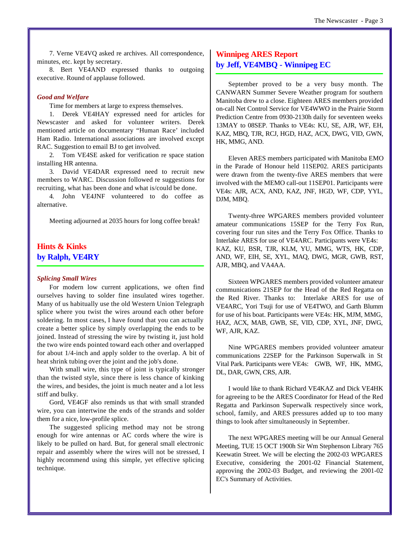7. Verne VE4VQ asked re archives. All correspondence, minutes, etc. kept by secretary.

8. Bert VE4AND expressed thanks to outgoing executive. Round of applause followed.

#### *Good and Welfare*

Time for members at large to express themselves.

1. Derek VE4HAY expressed need for articles for Newscaster and asked for volunteer writers. Derek mentioned article on documentary "Human Race' included Ham Radio. International associations are involved except RAC. Suggestion to email BJ to get involved.

2. Tom VE4SE asked for verification re space station installing HR antenna.

3. David VE4DAR expressed need to recruit new members to WARC. Discussion followed re suggestions for recruiting, what has been done and what is/could be done.

4. John VE4JNF volunteered to do coffee as alternative.

Meeting adjourned at 2035 hours for long coffee break!

## **Hints & Kinks by Ralph, VE4RY**

#### *Splicing Small Wires*

For modern low current applications, we often find ourselves having to solder fine insulated wires together. Many of us habitually use the old Western Union Telegraph splice where you twist the wires around each other before soldering. In most cases, I have found that you can actually create a better splice by simply overlapping the ends to be joined. Instead of stressing the wire by twisting it, just hold the two wire ends pointed toward each other and overlapped for about 1/4-inch and apply solder to the overlap. A bit of heat shrink tubing over the joint and the job's done.

With small wire, this type of joint is typically stronger than the twisted style, since there is less chance of kinking the wires, and besides, the joint is much neater and a lot less stiff and bulky.

Gord, VE4GF also reminds us that with small stranded wire, you can intertwine the ends of the strands and solder them for a nice, low-profile splice.

The suggested splicing method may not be strong enough for wire antennas or AC cords where the wire is likely to be pulled on hard. But, for general small electronic repair and assembly where the wires will not be stressed, I highly recommend using this simple, yet effective splicing technique.

## **Winnipeg ARES Report by Jeff, VE4MBQ - Winnipeg EC**

September proved to be a very busy month. The CANWARN Summer Severe Weather program for southern Manitoba drew to a close. Eighteen ARES members provided on-call Net Control Service for VE4WWO in the Prairie Storm Prediction Centre from 0930-2130h daily for seventeen weeks 13MAY to 08SEP. Thanks to VE4s: KU, SE, AJR, WF, EH, KAZ, MBQ, TJR, RCJ, HGD, HAZ, ACX, DWG, VID, GWN, HK, MMG, AND.

Eleven ARES members participated with Manitoba EMO in the Parade of Honour held 11SEP02. ARES participants were drawn from the twenty-five ARES members that were involved with the MEMO call-out 11SEP01. Participants were VE4s: AJR, ACX, AND, KAZ, JNF, HGD, WF, CDP, YYL, DJM, MBQ.

Twenty-three WPGARES members provided volunteer amateur communications 15SEP for the Terry Fox Run, covering four run sites and the Terry Fox Office. Thanks to Interlake ARES for use of VE4ARC. Participants were VE4s: KAZ, KU, BSR, TJR, KLM, YU, MMG, WTS, HK, CDP, AND, WF, EIH, SE, XYL, MAQ, DWG, MGR, GWB, RST, AJR, MBQ, and VA4AA.

Sixteen WPGARES members provided volunteer amateur communications 21SEP for the Head of the Red Regatta on the Red River. Thanks to: Interlake ARES for use of VE4ARC, Yori Tsuji for use of VE4TWO, and Garth Blumm for use of his boat. Participants were VE4s: HK, MJM, MMG, HAZ, ACX, MAB, GWB, SE, VID, CDP, XYL, JNF, DWG, WF, AJR, KAZ.

Nine WPGARES members provided volunteer amateur communications 22SEP for the Parkinson Superwalk in St Vital Park. Participants were VE4s: GWB, WF, HK, MMG, DL, DAR, GWN, CRS, AJR.

I would like to thank Richard VE4KAZ and Dick VE4HK for agreeing to be the ARES Coordinator for Head of the Red Regatta and Parkinson Superwalk respectively since work, school, family, and ARES pressures added up to too many things to look after simultaneously in September.

The next WPGARES meeting will be our Annual General Meeting, TUE 15 OCT 1900h Sir Wm Stephenson Library 765 Keewatin Street. We will be electing the 2002-03 WPGARES Executive, considering the 2001-02 Financial Statement, approving the 2002-03 Budget, and reviewing the 2001-02 EC's Summary of Activities.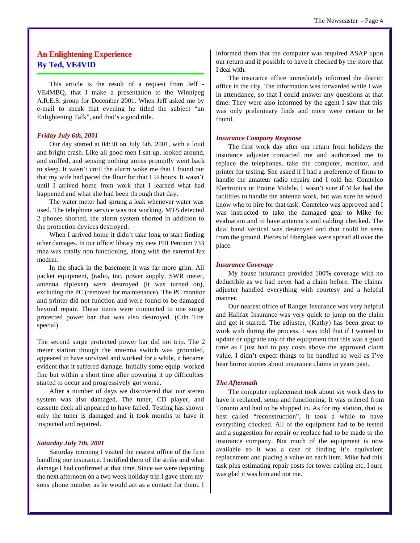## **An Enlightening Experience By Ted, VE4VID**

This article is the result of a request from Jeff - VE4MBQ, that I make a presentation to the Winnipeg A.R.E.S. group for December 2001. When Jeff asked me by e-mail to speak that evening he titled the subject "an Enlightening Talk", and that's a good title.

#### *Friday July 6th, 2001*

Our day started at 04:30 on July 6th, 2001, with a loud and bright crash. Like all good men I sat up, looked around, and sniffed, and sensing nothing amiss promptly went back to sleep. It wasn't until the alarm woke me that I found out that my wife had paced the floor for that 1 ½ hours. It wasn't until I arrived home from work that I learned what had happened and what she had been through that day.

The water meter had sprung a leak whenever water was used. The telephone service was not working. MTS detected 2 phones shorted, the alarm system shorted in addition to the protection devices destroyed.

When I arrived home it didn't take long to start finding other damages. In our office/ library my new PIII Pentium 733 mhz was totally non functioning, along with the external fax modem.

In the shack in the basement it was far more grim. All packet equipment, (radio, tnc, power supply, SWR meter, antenna diplexer) were destroyed (it was turned on), excluding the PC (removed for maintenance). The PC monitor and printer did not function and were found to be damaged beyond repair. These items were connected to one surge protected power bar that was also destroyed. (Cdn Tire special)

The second surge protected power bar did not trip. The 2 meter station though the antenna switch was grounded, appeared to have survived and worked for a while, it became evident that it suffered damage. Initially some equip. worked fine but within a short time after powering it up difficulties started to occur and progressively got worse.

After a number of days we discovered that our stereo system was also damaged. The tuner, CD player, and cassette deck all appeared to have failed. Testing has shown only the tuner is damaged and it took months to have it inspected and repaired.

#### *Saturday July 7th, 2001*

Saturday morning I visited the nearest office of the firm handling our insurance. I notified them of the strike and what damage I had confirmed at that time. Since we were departing the next afternoon on a two week holiday trip I gave them my sons phone number as he would act as a contact for them. I informed them that the computer was required ASAP upon our return and if possible to have it checked by the store that I deal with.

The insurance office immediately informed the district office in the city. The information was forwarded while I was in attendance, so that I could answer any questions at that time. They were also informed by the agent I saw that this was only preliminary finds and more were certain to be found.

#### *Insurance Company Response*

The first work day after our return from holidays the insurance adjuster contacted me and authorized me to replace the telephones, take the computer, monitor, and printer for testing. She asked if I had a preference of firms to handle the amateur radio repairs and I told her Comtelco Electronics or Prairie Mobile. I wasn't sure if Mike had the facilities to handle the antenna work, but was sure he would know who to hire for that task. Comtelco was approved and I was instructed to take the damaged gear to Mike for evaluation and to have antenna's and cabling checked. The dual band vertical was destroyed and that could be seen from the ground. Pieces of fiberglass were spread all over the place.

#### *Insurance Coverage*

My house insurance provided 100% coverage with no deductible as we had never had a claim before. The claims adjuster handled everything with courtesy and a helpful manner.

Our nearest office of Ranger Insurance was very helpful and Halifax Insurance was very quick to jump on the claim and get it started. The adjuster, (Kathy) has been great to work with during the process. I was told that if I wanted to update or upgrade any of the equipment that this was a good time as I just had to pay costs above the approved claim value. I didn't expect things to be handled so well as I've hear horror stories about insurance claims in years past.

#### *The Aftermath*

The computer replacement took about six work days to have it replaced, setup and functioning. It was ordered from Toronto and had to be shipped in. As for my station, that is best called "reconstruction", it took a while to have everything checked. All of the equipment had to be tested and a suggestion for repair or replace had to be made to the insurance company. Not much of the equipment is now available so it was a case of finding it's equivalent replacement and placing a value on each item. Mike had this task plus estimating repair costs for tower cabling etc. I sure was glad it was him and not me.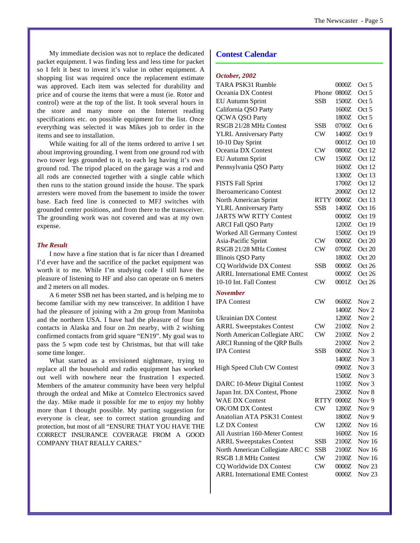My immediate decision was not to replace the dedicated packet equipment. I was finding less and less time for packet so I felt it best to invest it's value in other equipment. A shopping list was required once the replacement estimate was approved. Each item was selected for durability and price and of course the items that were a must (ie. Rotor and control) were at the top of the list. It took several hours in the store and many more on the Internet reading specifications etc. on possible equipment for the list. Once everything was selected it was Mikes job to order in the items and see to installation.

While waiting for all of the items ordered to arrive I set about improving grounding. I went from one ground rod with two tower legs grounded to it, to each leg having it's own ground rod. The tripod placed on the garage was a rod and all rods are connected together with a single cable which then runs to the station ground inside the house. The spark arresters were moved from the basement to inside the tower base. Each feed line is connected to MFJ switches with grounded center positions, and from there to the transceiver. The grounding work was not covered and was at my own expense.

#### *The Result*

I now have a fine station that is far nicer than I dreamed I'd ever have and the sacrifice of the packet equipment was worth it to me. While I'm studying code I still have the pleasure of listening to HF and also can operate on 6 meters and 2 meters on all modes.

A 6 meter SSB net has been started, and is helping me to become familiar with my new transceiver. In addition I have had the pleasure of joining with a 2m group from Manitoba and the northern USA. I have had the pleasure of four 6m contacts in Alaska and four on 2m nearby, with 2 wishing confirmed contacts from grid square "EN19". My goal was to pass the 5 wpm code test by Christmas, but that will take some time longer.

What started as a envisioned nightmare, trying to replace all the household and radio equipment has worked out well with nowhere near the frustration I expected. Members of the amateur community have been very helpful through the ordeal and Mike at Comtelco Electronics saved the day. Mike made it possible for me to enjoy my hobby more than I thought possible. My parting suggestion for everyone is clear, see to correct station grounding and protection, but most of all "ENSURE THAT YOU HAVE THE CORRECT INSURANCE COVERAGE FROM A GOOD COMPANY THAT REALLY CARES."

#### **Contest Calendar**

#### *October, 2002*

| TARA PSK31 Rumble                                                |            | 0000Z          | Oct 5                     |
|------------------------------------------------------------------|------------|----------------|---------------------------|
| Oceania DX Contest                                               | Phone      | 0800Z          | Oct 5                     |
| <b>EU Autumn Sprint</b>                                          | <b>SSB</b> | 1500Z          | Oct 5                     |
| California QSO Party                                             |            | 1600Z          | Oct 5                     |
| <b>QCWA QSO Party</b>                                            |            | 1800Z          | Oct 5                     |
| RSGB 21/28 MHz Contest                                           | SSB        | 0700Z          | Oct 6                     |
| <b>YLRL Anniversary Party</b>                                    | CW         | 1400Z          | Oct 9                     |
| 10-10 Day Sprint                                                 |            | 0001Z          | Oct 10                    |
| Oceania DX Contest                                               | CW         | 0800Z          | Oct 12                    |
| <b>EU Autumn Sprint</b>                                          | CW         | 1500Z          | Oct 12                    |
| Pennsylvania QSO Party                                           |            | 1600Z          | Oct 12                    |
|                                                                  |            | 1300Z          | Oct 13                    |
| <b>FISTS Fall Sprint</b>                                         |            | 1700Z          | Oct 12                    |
| <b>Iberoamericano Contest</b>                                    |            | 2000Z          | Oct 12                    |
| North American Sprint                                            | RTTY       | 0000Z          | Oct 13                    |
| <b>YLRL Anniversary Party</b>                                    | <b>SSB</b> | 1400Z          | Oct 16                    |
| <b>JARTS WW RTTY Contest</b>                                     |            | 0000Z          | Oct 19                    |
| <b>ARCI Fall QSO Party</b>                                       |            | 1200Z          | Oct 19                    |
| Worked All Germany Contest                                       |            | 1500Z          | Oct 19                    |
| Asia-Pacific Sprint                                              | CW         | 0000Z          | Oct 20                    |
| RSGB 21/28 MHz Contest                                           | CW         | 0700Z          | Oct 20                    |
| Illinois QSO Party                                               |            | 1800Z          | Oct 20                    |
| CQ Worldwide DX Contest                                          | SSB        | 0000Z          | Oct26                     |
| <b>ARRL International EME Contest</b>                            |            | 0000Z          | Oct26                     |
|                                                                  |            |                |                           |
|                                                                  |            |                |                           |
| 10-10 Int. Fall Contest                                          | CW         | 0001Z          | Oct 26                    |
| <b>November</b>                                                  |            |                |                           |
| <b>IPA</b> Contest                                               | CW         | 0600Z          | Nov $2$                   |
|                                                                  |            | 1400Z          | Nov $2$                   |
| Ukrainian DX Contest                                             |            | 1200Z          | Nov $2$                   |
| <b>ARRL Sweepstakes Contest</b>                                  | <b>CW</b>  | 2100Z          | Nov $2$                   |
| North American Collegiate ARC                                    | CW         | 2100Z          | Nov $2$                   |
| <b>ARCI Running of the QRP Bulls</b>                             |            | 2100Z          | Nov $2$                   |
| <b>IPA</b> Contest                                               | <b>SSB</b> | 0600Z          | Nov $3$                   |
|                                                                  |            | 1400Z          | Nov $3$                   |
| High Speed Club CW Contest                                       |            | 0900Z          | Nov $3$                   |
|                                                                  |            | 1500Z          | Nov $3$                   |
| DARC 10-Meter Digital Contest                                    |            | 1100Z          | Nov $3$                   |
| Japan Int. DX Contest, Phone                                     |            | 2300Z          | Nov 8                     |
| <b>WAE DX Contest</b>                                            | RTTY       | 0000Z          | Nov 9                     |
| OK/OM DX Contest                                                 | CW         | 1200Z          | Nov 9                     |
| Anatolian ATA PSK31 Contest                                      |            | 1800Z          | Nov 9                     |
| LZ DX Contest                                                    | CW         | 1200Z          | Nov 16                    |
| All Austrian 160-Meter Contest                                   |            | 1600Z          | Nov 16                    |
| <b>ARRL Sweepstakes Contest</b>                                  | SSB        | 2100Z          | Nov 16                    |
| North American Collegiate ARC C                                  | <b>SSB</b> | 2100Z          | <b>Nov 16</b>             |
| RSGB 1.8 MHz Contest                                             | <b>CW</b>  | 2100Z          | Nov 16                    |
| CQ Worldwide DX Contest<br><b>ARRL International EME Contest</b> | CW         | 0000Z<br>0000Z | <b>Nov 23</b><br>Nov $23$ |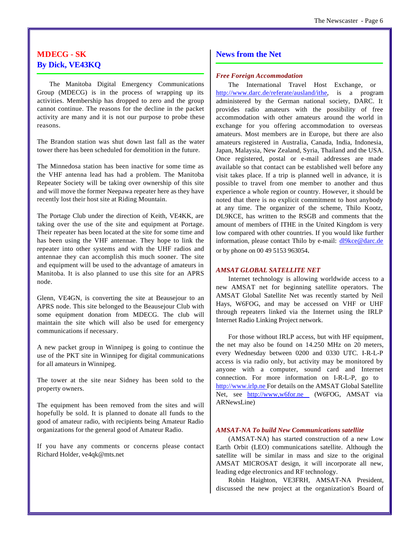## **MDECG - SK By Dick, VE43KQ**

The Manitoba Digital Emergency Communications Group (MDECG) is in the process of wrapping up its activities. Membership has dropped to zero and the group cannot continue. The reasons for the decline in the packet activity are many and it is not our purpose to probe these reasons.

The Brandon station was shut down last fall as the water tower there has been scheduled for demolition in the future.

The Minnedosa station has been inactive for some time as the VHF antenna lead has had a problem. The Manitoba Repeater Society will be taking over ownership of this site and will move the former Neepawa repeater here as they have recently lost their host site at Riding Mountain.

The Portage Club under the direction of Keith, VE4KK, are taking over the use of the site and equipment at Portage. Their repeater has been located at the site for some time and has been using the VHF antennae. They hope to link the repeater into other systems and with the UHF radios and antennae they can accomplish this much sooner. The site and equipment will be used to the advantage of amateurs in Manitoba. It is also planned to use this site for an APRS node.

Glenn, VE4GN, is converting the site at Beausejour to an APRS node. This site belonged to the Beausejour Club with some equipment donation from MDECG. The club will maintain the site which will also be used for emergency communications if necessary.

A new packet group in Winnipeg is going to continue the use of the PKT site in Winnipeg for digital communications for all amateurs in Winnipeg.

The tower at the site near Sidney has been sold to the property owners.

The equipment has been removed from the sites and will hopefully be sold. It is planned to donate all funds to the good of amateur radio, with recipients being Amateur Radio organizations for the general good of Amateur Radio.

If you have any comments or concerns please contact Richard Holder, ve4qk@mts.net

## **News from the Net**

#### *Free Foreign Accommodation*

The International Travel Host Exchange, or http://www.darc.de/referate/ausland/ithe, is a program administered by the German national society, DARC. It provides radio amateurs with the possibility of free accommodation with other amateurs around the world in exchange for you offering accommodation to overseas amateurs. Most members are in Europe, but there are also amateurs registered in Australia, Canada, India, Indonesia, Japan, Malaysia, New Zealand, Syria, Thailand and the USA. Once registered, postal or e-mail addresses are made available so that contact can be established well before any visit takes place. If a trip is planned well in advance, it is possible to travel from one member to another and thus experience a whole region or country. However, it should be noted that there is no explicit commitment to host anybody at any time. The organizer of the scheme, Thilo Kootz, DL9KCE, has written to the RSGB and comments that the amount of members of ITHE in the United Kingdom is very low compared with other countries. If you would like further information, please contact Thilo by e-mail: dl9kce@darc.de or by phone on 00 49 5153 963054.

#### *AMSAT GLOBAL SATELLITE NET*

Internet technology is allowing worldwide access to a new AMSAT net for beginning satellite operators. The AMSAT Global Satellite Net was recently started by Neil Hays, W6FOG, and may be accessed on VHF or UHF through repeaters linked via the Internet using the IRLP Internet Radio Linking Project network.

For those without IRLP access, but with HF equipment, the net may also be found on 14.250 MHz on 20 meters, every Wednesday between 0200 and 0330 UTC. I-R-L-P access is via radio only, but activity may be monitored by anyone with a computer, sound card and Internet connection. For more information on I-R-L-P, go to http://www.irlp.ne For details on the AMSAT Global Satellite Net, see http://www.w6for.ne (W6FOG, AMSAT via ARNewsLine)

#### *AMSAT-NA To build New Communications satellite*

(AMSAT-NA) has started construction of a new Low Earth Orbit (LEO) communications satellite. Although the satellite will be similar in mass and size to the original AMSAT MICROSAT design, it will incorporate all new, leading edge electronics and RF technology.

Robin Haighton, VE3FRH, AMSAT-NA President, discussed the new project at the organization's Board of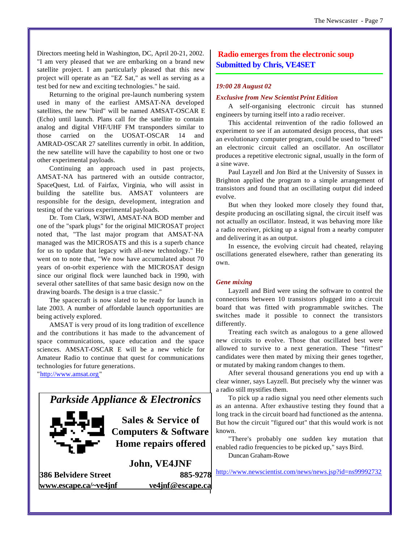Directors meeting held in Washington, DC, April 20-21, 2002. "I am very pleased that we are embarking on a brand new satellite project. I am particularly pleased that this new project will operate as an "EZ Sat," as well as serving as a test bed for new and exciting technologies." he said.

Returning to the original pre-launch numbering system used in many of the earliest AMSAT-NA developed satellites, the new "bird" will be named AMSAT-OSCAR E (Echo) until launch. Plans call for the satellite to contain analog and digital VHF/UHF FM transponders similar to those carried on the UOSAT-OSCAR 14 and AMRAD-OSCAR 27 satellites currently in orbit. In addition, the new satellite will have the capability to host one or two other experimental payloads.

Continuing an approach used in past projects, AMSAT-NA has partnered with an outside contractor, SpaceQuest, Ltd. of Fairfax, Virginia, who will assist in building the satellite bus. AMSAT volunteers are responsible for the design, development, integration and testing of the various experimental payloads.

Dr. Tom Clark, W3IWI, AMSAT-NA BOD member and one of the "spark plugs" for the original MICROSAT project noted that, "The last major program that AMSAT-NA managed was the MICROSATS and this is a superb chance for us to update that legacy with all-new technology." He went on to note that, "We now have accumulated about 70 years of on-orbit experience with the MICROSAT design since our original flock were launched back in 1990, with several other satellites of that same basic design now on the drawing boards. The design is a true classic."

The spacecraft is now slated to be ready for launch in late 2003. A number of affordable launch opportunities are being actively explored.

AMSAT is very proud of its long tradition of excellence and the contributions it has made to the advancement of space communications, space education and the space sciences. AMSAT-OSCAR E will be a new vehicle for Amateur Radio to continue that quest for communications technologies for future generations.

"http://www.amsat.org"

## *Parkside Appliance & Electronics*



**Sales & Service of Computers & Software Home repairs offered**

**John, VE4JNF**

**386 Belvidere Street 885-9278 www.escape.ca/~ve4jnf ve4jnf@escape.ca**

Brighton applied the program to a simple arrangement of transistors and found that an oscillating output did indeed

evolve. But when they looked more closely they found that, despite producing an oscillating signal, the circuit itself was not actually an oscillator. Instead, it was behaving more like a radio receiver, picking up a signal from a nearby computer and delivering it as an output.

A self-organising electronic circuit has stunned

This accidental reinvention of the radio followed an experiment to see if an automated design process, that uses an evolutionary computer program, could be used to "breed" an electronic circuit called an oscillator. An oscillator produces a repetitive electronic signal, usually in the form of

Paul Layzell and Jon Bird at the University of Sussex in

 **Radio emerges from the electronic soup** 

**Submitted by Chris, VE4SET**

*Exclusive from New Scientist Print Edition*

engineers by turning itself into a radio receiver.

*19:00 28 August 02* 

In essence, the evolving circuit had cheated, relaying oscillations generated elsewhere, rather than generating its own.

#### *Gene mixing*

a sine wave.

Layzell and Bird were using the software to control the connections between 10 transistors plugged into a circuit board that was fitted with programmable switches. The switches made it possible to connect the transistors differently.

Treating each switch as analogous to a gene allowed new circuits to evolve. Those that oscillated best were allowed to survive to a next generation. These "fittest" candidates were then mated by mixing their genes together, or mutated by making random changes to them.

After several thousand generations you end up with a clear winner, says Layzell. But precisely why the winner was a radio still mystifies them.

To pick up a radio signal you need other elements such as an antenna. After exhaustive testing they found that a long track in the circuit board had functioned as the antenna. But how the circuit "figured out" that this would work is not known.

"There's probably one sudden key mutation that enabled radio frequencies to be picked up," says Bird. Duncan Graham-Rowe

http://www.newscientist.com/news/news.jsp?id=ns99992732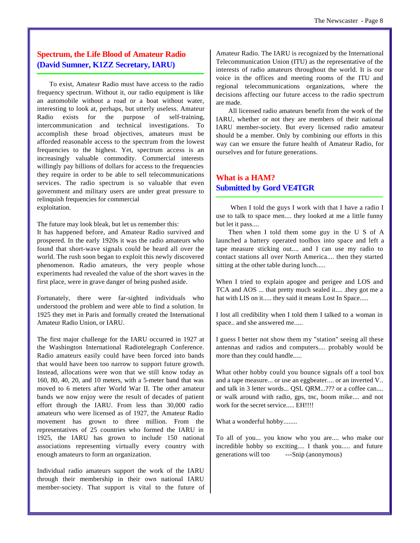## **Spectrum, the Life Blood of Amateur Radio (David Sumner, K1ZZ Secretary, IARU)**

To exist, Amateur Radio must have access to the radio frequency spectrum. Without it, our radio equipment is like an automobile without a road or a boat without water, interesting to look at, perhaps, but utterly useless. Amateur Radio exists for the purpose of self-training, intercommunication and technical investigations. To accomplish these broad objectives, amateurs must be afforded reasonable access to the spectrum from the lowest frequencies to the highest. Yet, spectrum access is an increasingly valuable commodity. Commercial interests willingly pay billions of dollars for access to the frequencies they require in order to be able to sell telecommunications services. The radio spectrum is so valuable that even government and military users are under great pressure to relinquish frequencies for commercial exploitation.

The future may look bleak, but let us remember this:

It has happened before, and Amateur Radio survived and prospered. In the early 1920s it was the radio amateurs who found that short-wave signals could be heard all over the world. The rush soon began to exploit this newly discovered phenomenon. Radio amateurs, the very people whose experiments had revealed the value of the short waves in the first place, were in grave danger of being pushed aside.

Fortunately, there were far-sighted individuals who understood the problem and were able to find a solution. In 1925 they met in Paris and formally created the International Amateur Radio Union, or IARU.

The first major challenge for the IARU occurred in 1927 at the Washington International Radiotelegraph Conference. Radio amateurs easily could have been forced into bands that would have been too narrow to support future growth. Instead, allocations were won that we still know today as 160, 80, 40, 20, and 10 meters, with a 5-meter band that was moved to 6 meters after World War II. The other amateur bands we now enjoy were the result of decades of patient effort through the IARU. From less than 30,000 radio amateurs who were licensed as of 1927, the Amateur Radio movement has grown to three million. From the representatives of 25 countries who formed the IARU in 1925, the IARU has grown to include 150 national associations representing virtually every country with enough amateurs to form an organization.

Individual radio amateurs support the work of the IARU through their membership in their own national IARU member-society. That support is vital to the future of Amateur Radio. The IARU is recognized by the International Telecommunication Union (ITU) as the representative of the interests of radio amateurs throughout the world. It is our voice in the offices and meeting rooms of the ITU and regional telecommunications organizations, where the decisions affecting our future access to the radio spectrum are made.

All licensed radio amateurs benefit from the work of the IARU, whether or not they are members of their national IARU member-society. But every licensed radio amateur should be a member. Only by combining our efforts in this way can we ensure the future health of Amateur Radio, for ourselves and for future generations.

## **What is a HAM? Submitted by Gord VE4TGR**

 When I told the guys I work with that I have a radio I use to talk to space men.... they looked at me a little funny but let it pass....

Then when I told them some guy in the U S of A launched a battery operated toolbox into space and left a tape measure sticking out.... and I can use my radio to contact stations all over North America.... then they started sitting at the other table during lunch.....

When I tried to explain apogee and perigee and LOS and TCA and AOS ... that pretty much sealed it.... .they got me a hat with LIS on it..... they said it means Lost In Space.....

I lost all credibility when I told them I talked to a woman in space.. and she answered me.....

I guess I better not show them my "station" seeing all these antennas and radios and computers.... probably would be more than they could handle.....

What other hobby could you bounce signals off a tool box and a tape measure... or use an eggbeater.... or an inverted V.. and talk in 3 letter words... QSL QRM...??? or a coffee can.... or walk around with radio, gps, tnc, boom mike.... and not work for the secret service..... EH!!!!

What a wonderful hobby........

To all of you... you know who you are.... who make our incredible hobby so exciting.... I thank you..... and future generations will too ---Snip (anonymous)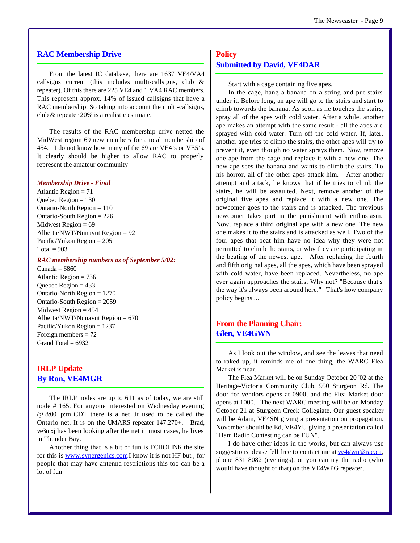#### **RAC Membership Drive**

From the latest IC database, there are 1637 VE4/VA4 callsigns current (this includes multi-callsigns, club & repeater). Of this there are 225 VE4 and 1 VA4 RAC members. This represent approx. 14% of issued callsigns that have a RAC membership. So taking into account the multi-callsigns, club & repeater 20% is a realistic estimate.

The results of the RAC membership drive netted the MidWest region 69 new members for a total membership of 454. I do not know how many of the 69 are VE4's or VE5's. It clearly should be higher to allow RAC to properly represent the amateur community

#### *Membership Drive - Final*

Atlantic Region = 71 Quebec Region = 130 Ontario-North Region = 110 Ontario-South Region = 226 Midwest Region = 69 Alberta/NWT/Nunavut Region = 92 Pacific/Yukon Region = 205 Total  $= 903$ 

#### *RAC membership numbers as of September 5/02:*

 $Canada = 6860$ Atlantic Region = 736 Quebec Region  $= 433$ Ontario-North Region = 1270 Ontario-South Region = 2059 Midwest Region = 454 Alberta/NWT/Nunavut Region = 670 Pacific/Yukon Region = 1237 Foreign members = 72 Grand Total  $= 6932$ 

## **IRLP Update By Ron, VE4MGR**

The IRLP nodes are up to 611 as of today, we are still node # 165. For anyone interested on Wednesday evening @ 8:00 p:m CDT there is a net ,it used to be called the Ontario net. It is on the UMARS repeater 147.270+. Brad, ve3mxj has been looking after the net in most cases, he lives in Thunder Bay.

Another thing that is a bit of fun is ECHOLINK the site for this is www.synergenics.com I know it is not HF but , for people that may have antenna restrictions this too can be a lot of fun

### **Policy Submitted by David, VE4DAR**

Start with a cage containing five apes.

In the cage, hang a banana on a string and put stairs under it. Before long, an ape will go to the stairs and start to climb towards the banana. As soon as he touches the stairs, spray all of the apes with cold water. After a while, another ape makes an attempt with the same result - all the apes are sprayed with cold water. Turn off the cold water. If, later, another ape tries to climb the stairs, the other apes will try to prevent it, even though no water sprays them. Now, remove one ape from the cage and replace it with a new one. The new ape sees the banana and wants to climb the stairs. To his horror, all of the other apes attack him. After another attempt and attack, he knows that if he tries to climb the stairs, he will be assaulted. Next, remove another of the original five apes and replace it with a new one. The newcomer goes to the stairs and is attacked. The previous newcomer takes part in the punishment with enthusiasm. Now, replace a third original ape with a new one. The new one makes it to the stairs and is attacked as well. Two of the four apes that beat him have no idea why they were not permitted to climb the stairs, or why they are participating in the beating of the newest ape. After replacing the fourth and fifth original apes, all the apes, which have been sprayed with cold water, have been replaced. Nevertheless, no ape ever again approaches the stairs. Why not? "Because that's the way it's always been around here." That's how company policy begins....

### **From the Planning Chair: Glen, VE4GWN**

As I look out the window, and see the leaves that need to raked up, it reminds me of one thing, the WARC Flea Market is near.

The Flea Market will be on Sunday October 20 '02 at the Heritage-Victoria Community Club, 950 Sturgeon Rd. The door for vendors opens at 0900, and the Flea Market door opens at 1000. The next WARC meeting will be on Monday October 21 at Sturgeon Creek Collegiate. Our guest speaker will be Adam, VE4SN giving a presentation on propagation. November should be Ed, VE4YU giving a presentation called "Ham Radio Contesting can be FUN".

I do have other ideas in the works, but can always use suggestions please fell free to contact me at ve4gwn@rac.ca, phone 831 8082 (evenings), or you can try the radio (who would have thought of that) on the VE4WPG repeater.